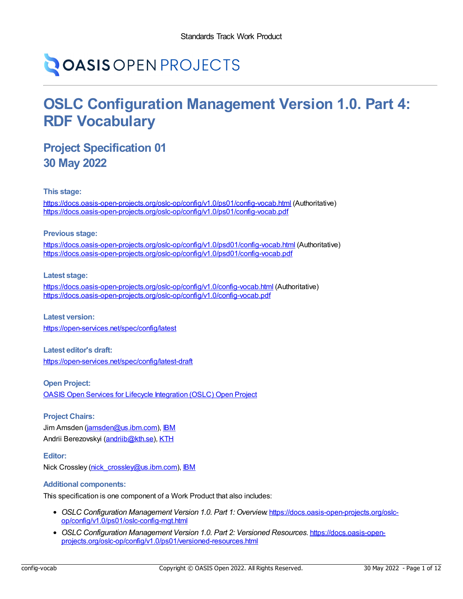# **OASIS OPEN PROJECTS**

## **OSLC Configuration Management Version 1.0. Part 4: RDF Vocabulary**

### **Project Specification 01 30 May 2022**

**This stage:**

<https://docs.oasis-open-projects.org/oslc-op/config/v1.0/ps01/config-vocab.html> (Authoritative) <https://docs.oasis-open-projects.org/oslc-op/config/v1.0/ps01/config-vocab.pdf>

#### **Previous stage:**

<https://docs.oasis-open-projects.org/oslc-op/config/v1.0/psd01/config-vocab.html> (Authoritative) <https://docs.oasis-open-projects.org/oslc-op/config/v1.0/psd01/config-vocab.pdf>

#### **Latest stage:**

<https://docs.oasis-open-projects.org/oslc-op/config/v1.0/config-vocab.html> (Authoritative) <https://docs.oasis-open-projects.org/oslc-op/config/v1.0/config-vocab.pdf>

**Latest version:** <https://open-services.net/spec/config/latest>

**Latest editor's draft:** <https://open-services.net/spec/config/latest-draft>

**Open Project:** OASIS Open Services for Lifecycle [Integration](https://open-services.net/about/) (OSLC) Open Project

#### **Project Chairs:**

Jim Amsden [\(jamsden@us.ibm.com\)](mailto:jamsden@us.ibm.com), [IBM](https://www.ibm.com/) Andrii Berezovskyi [\(andriib@kth.se](mailto:andriib@kth.se)), [KTH](https://www.kth.se/en)

#### **Editor:**

Nick Crossley [\(nick\\_crossley@us.ibm.com](mailto:nick_crossley@us.ibm.com)), [IBM](https://ibm.com/)

#### **Additional components:**

This specification is one component of a Work Product that also includes:

- *OSLC Configuration Management Version 1.0. Part 1: Overview*. [https://docs.oasis-open-projects.org/oslc](https://docs.oasis-open-projects.org/oslc-op/config/v1.0/ps01/oslc-config-mgt.html)op/config/v1.0/ps01/oslc-config-mgt.html
- *OSLC Configuration Management Version 1.0. Part 2: Versioned Resources*. https://docs.oasis-open[projects.org/oslc-op/config/v1.0/ps01/versioned-resources.html](https://docs.oasis-open-projects.org/oslc-op/config/v1.0/ps01/versioned-resources.html)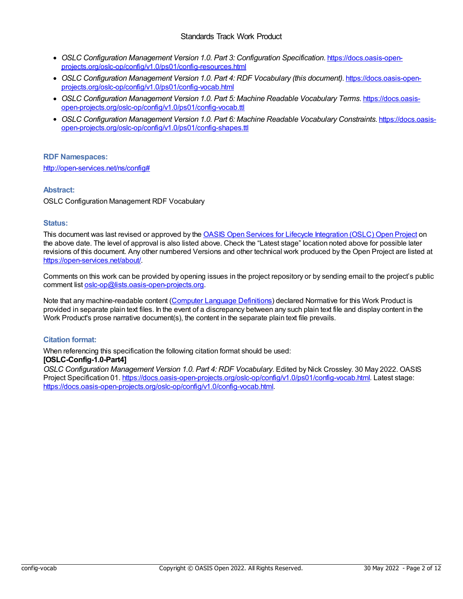#### Standards Track Work Product

- *OSLC Configuration Management Version 1.0. Part 3: Configuration Specification*. https://docs.oasis-open[projects.org/oslc-op/config/v1.0/ps01/config-resources.html](https://docs.oasis-open-projects.org/oslc-op/config/v1.0/ps01/config-resources.html)
- *OSLC Configuration Management Version 1.0. Part 4: RDF Vocabulary (this document)*. https://docs.oasis-open[projects.org/oslc-op/config/v1.0/ps01/config-vocab.html](https://docs.oasis-open-projects.org/oslc-op/config/v1.0/ps01/config-vocab.html)
- *OSLC Configuration Management Version 1.0. Part 5: Machine Readable Vocabulary Terms*. https://docs.oasis[open-projects.org/oslc-op/config/v1.0/ps01/config-vocab.ttl](https://docs.oasis-open-projects.org/oslc-op/config/v1.0/ps01/config-vocab.ttl)
- *OSLC Configuration Management Version 1.0. Part 6: Machine Readable Vocabulary Constraints*. https://docs.oasis[open-projects.org/oslc-op/config/v1.0/ps01/config-shapes.ttl](https://docs.oasis-open-projects.org/oslc-op/config/v1.0/ps01/config-shapes.ttl)

#### **RDF Namespaces:**

<http://open-services.net/ns/config#>

#### **Abstract:**

OSLC Configuration Management RDF Vocabulary

#### **Status:**

This document was last revised or approved by the OASIS Open Services for Lifecycle [Integration](https://open-services.net/about/) (OSLC) Open Project on the above date. The level of approval is also listed above. Check the "Latest stage" location noted above for possible later revisions of this document. Any other numbered Versions and other technical work produced by the Open Project are listed at <https://open-services.net/about/>.

Comments on this work can be provided by opening issues in the project repository or by sending email to the project's public comment list [oslc-op@lists.oasis-open-projects.org](mailto:oslc-op@lists.oasis-open-projects.org).

Note that any machine-readable content (Computer Language [Definitions](https://www.oasis-open.org/policies-guidelines/tc-process-2017-05-26/#wpComponentsCompLang)) declared Normative for this Work Product is provided in separate plain text files. In the event of a discrepancy between any such plain text file and display content in the Work Product's prose narrative document(s), the content in the separate plain text file prevails.

#### **Citation format:**

When referencing this specification the following citation format should be used: **[OSLC-Config-1.0-Part4]**

*OSLC Configuration Management Version 1.0. Part 4: RDF Vocabulary*. Edited by Nick Crossley. 30 May 2022. OASIS Project Specification 01. <https://docs.oasis-open-projects.org/oslc-op/config/v1.0/ps01/config-vocab.html>. Latest stage: <https://docs.oasis-open-projects.org/oslc-op/config/v1.0/config-vocab.html>.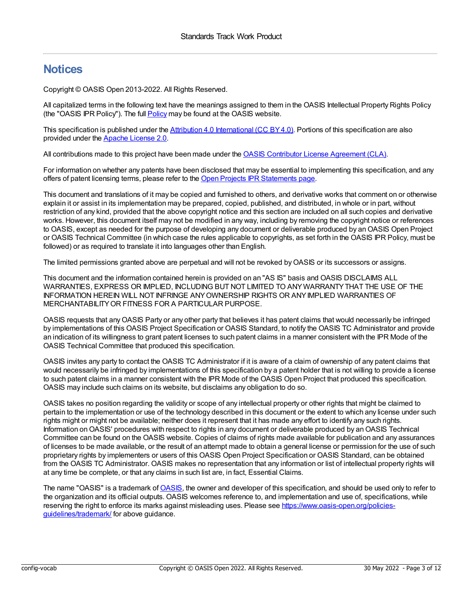### **Notices**

Copyright © OASIS Open 2013-2022. All Rights Reserved.

All capitalized terms in the following text have the meanings assigned to them in the OASIS Intellectual Property Rights Policy (the "OASIS IPR Policy"). The full [Policy](https://www.oasis-open.org/policies-guidelines/ipr/) may be found at the OASIS website.

This specification is published under the Attribution 4.0 [International](https://creativecommons.org/licenses/by/4.0/legalcode) (CC BY4.0). Portions of this specification are also provided under the Apache [License](https://www.apache.org/licenses/LICENSE-2.0) 2.0.

All contributions made to this project have been made under the OASIS Contributor License [Agreement](https://www.oasis-open.org/policies-guidelines/open-projects-process/#individual-cla-exhibit) (CLA).

For information on whether any patents have been disclosed that may be essential to implementing this specification, and any offers of patent licensing terms, please refer to the Open Projects IPR [Statements](https://github.com/oasis-open-projects/administration/blob/master/IPR_STATEMENTS.md#open-services-for-lifecycle-collaboration-oslc-open-project) page.

This document and translations of it may be copied and furnished to others, and derivative works that comment on or otherwise explain it or assist in its implementation may be prepared, copied, published, and distributed, in whole or in part, without restriction of any kind, provided that the above copyright notice and this section are included on all such copies and derivative works. However, this document itself may not be modified in any way, including by removing the copyright notice or references to OASIS, except as needed for the purpose of developing any document or deliverable produced by an OASIS Open Project or OASIS Technical Committee (in which case the rules applicable to copyrights, as set forth in the OASIS IPR Policy, must be followed) or as required to translate it into languages other than English.

The limited permissions granted above are perpetual and will not be revoked byOASIS or its successors or assigns.

This document and the information contained herein is provided on an "AS IS" basis and OASIS DISCLAIMS ALL WARRANTIES, EXPRESS OR IMPLIED, INCLUDING BUT NOT LIMITED TO ANYWARRANTYTHAT THE USE OF THE INFORMATION HEREIN WILL NOT INFRINGE ANYOWNERSHIP RIGHTS OR ANYIMPLIED WARRANTIES OF MERCHANTABILITYOR FITNESS FOR A PARTICULAR PURPOSE.

OASIS requests that anyOASIS Party or any other party that believes it has patent claims that would necessarily be infringed by implementations of this OASIS Project Specification or OASIS Standard, to notify the OASIS TC Administrator and provide an indication of its willingness to grant patent licenses to such patent claims in a manner consistent with the IPR Mode of the OASIS Technical Committee that produced this specification.

OASIS invites any party to contact the OASIS TC Administrator if it is aware of a claim of ownership of any patent claims that would necessarily be infringed by implementations of this specification by a patent holder that is not willing to provide a license to such patent claims in a manner consistent with the IPR Mode of the OASIS Open Project that produced this specification. OASIS may include such claims on its website, but disclaims any obligation to do so.

OASIS takes no position regarding the validity or scope of any intellectual property or other rights that might be claimed to pertain to the implementation or use of the technology described in this document or the extent to which any license under such rights might or might not be available; neither does it represent that it has made any effort to identify any such rights. Information on OASIS' procedures with respect to rights in any document or deliverable produced by an OASIS Technical Committee can be found on the OASIS website. Copies of claims of rights made available for publication and any assurances of licenses to be made available, or the result of an attempt made to obtain a general license or permission for the use of such proprietary rights by implementers or users of this OASIS Open Project Specification or OASIS Standard, can be obtained from the OASIS TC Administrator. OASIS makes no representation that any information or list of intellectual property rights will at any time be complete, or that any claims in such list are, in fact, Essential Claims.

The name "OASIS" is a trademark of [OASIS](https://www.oasis-open.org), the owner and developer of this specification, and should be used only to refer to the organization and its official outputs. OASIS welcomes reference to, and implementation and use of, specifications, while reserving the right to enforce its marks against misleading uses. Please see [https://www.oasis-open.org/policies](https://www.oasis-open.org/policies-guidelines/trademark/)guidelines/trademark/ for above guidance.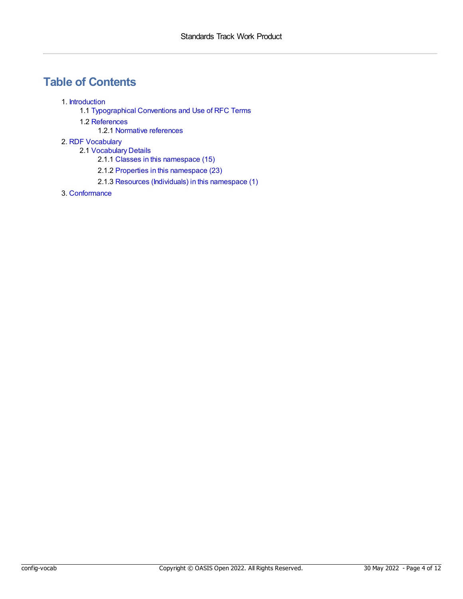### **Table of Contents**

- 1. [Introduction](#page-4-0)
	- 1.1 [Typographical](#page-4-1) Conventions and Use of RFC Terms
	- 1.2 [References](#page-4-2)
		- 1.2.1 Normative [references](#page-4-3)
- 2. RDF [Vocabulary](#page-7-0)
	- 2.1 [Vocabulary](#page-7-1) Details
		- 2.1.1 Classes in this [namespace](#page-5-0) (15)
		- 2.1.2 Properties in this [namespace](#page-7-2) (23)
		- 2.1.3 Resources [\(Individuals\)](#page-10-0) in this namespace (1)
- 3. [Conformance](#page-11-0)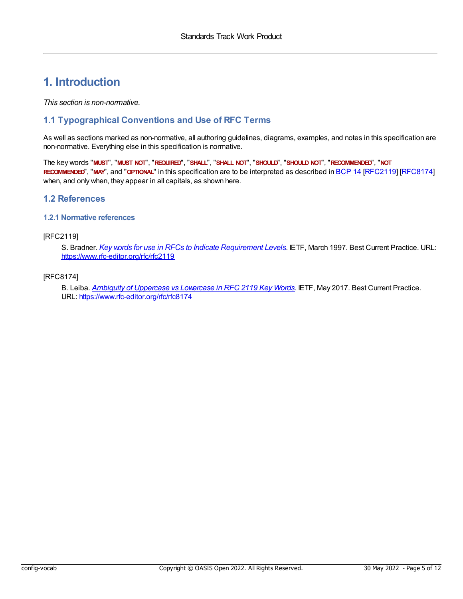### <span id="page-4-0"></span>**1. Introduction**

*This section is non-normative.*

#### <span id="page-4-1"></span>**1.1 Typographical Conventions and Use of RFC Terms**

As well as sections marked as non-normative, all authoring guidelines, diagrams, examples, and notes in this specification are non-normative. Everything else in this specification is normative.

The key words "**MUST**", "**MUST NOT**", "**REQUIRED**", "**SHALL**", "**SHALL NOT**", "**SHOULD**", "**SHOULD NOT**", "**RECOMMENDED**", "**NOT RECOMMENDED**", "**MAY**", and "**OPTIONAL**" in this specification are to be interpreted as described in [BCP](https://tools.ietf.org/html/bcp14) 14 [\[RFC2119](#page-4-4)] [\[RFC8174](#page-4-5)] when, and only when, they appear in all capitals, as shown here.

#### <span id="page-4-2"></span>**1.2 References**

#### <span id="page-4-3"></span>**1.2.1 Normative references**

#### <span id="page-4-4"></span>[RFC2119]

S. Bradner. *Key words for use in RFCs to Indicate [Requirement](https://www.rfc-editor.org/rfc/rfc2119) Levels*. IETF, March 1997. Best Current Practice. URL: <https://www.rfc-editor.org/rfc/rfc2119>

#### <span id="page-4-5"></span>[RFC8174]

B. Leiba. *Ambiguity of [Uppercase](https://www.rfc-editor.org/rfc/rfc8174) vs Lowercase in RFC 2119 Key Words*. IETF, May 2017. Best Current Practice. URL: <https://www.rfc-editor.org/rfc/rfc8174>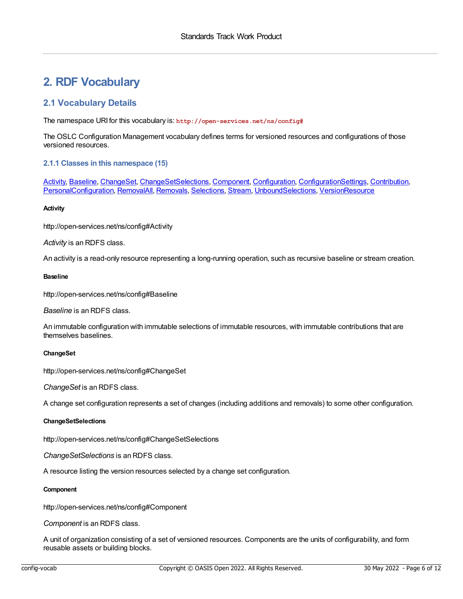### **2. RDF Vocabulary**

#### **2.1 Vocabulary Details**

The namespace URI for this vocabulary is: **http://open-services.net/ns/config#**

The OSLC Configuration Management vocabulary defines terms for versioned resources and configurations of those versioned resources.

#### <span id="page-5-0"></span>**2.1.1 Classes in this namespace (15)**

[Activity](#page-5-1), [Baseline](#page-5-2), [ChangeSet](#page-5-3), [ChangeSetSelections](#page-5-4), [Component](#page-5-5), [Configuration](#page-6-0), [ConfigurationSettings](#page-6-1), [Contribution](#page-6-2), [PersonalConfiguration](#page-6-3), [RemovalAll](#page-6-4), [Removals](#page-6-5), [Selections](#page-6-6), [Stream](#page-7-3), [UnboundSelections,](#page-7-4) [VersionResource](#page-7-5)

#### <span id="page-5-1"></span>**Activity**

http://open-services.net/ns/config#Activity

*Activity* is an RDFS class.

An activity is a read-only resource representing a long-running operation, such as recursive baseline or stream creation.

#### <span id="page-5-2"></span>**Baseline**

http://open-services.net/ns/config#Baseline

*Baseline* is an RDFS class.

An immutable configuration with immutable selections of immutable resources, with immutable contributions that are themselves baselines.

#### <span id="page-5-3"></span>**ChangeSet**

http://open-services.net/ns/config#ChangeSet

*ChangeSet* is an RDFS class.

A change set configuration represents a set of changes (including additions and removals) to some other configuration.

#### <span id="page-5-4"></span>**ChangeSetSelections**

http://open-services.net/ns/config#ChangeSetSelections

*ChangeSetSelections* is an RDFS class.

A resource listing the version resources selected by a change set configuration.

#### <span id="page-5-5"></span>**Component**

http://open-services.net/ns/config#Component

*Component* is an RDFS class.

A unit of organization consisting of a set of versioned resources. Components are the units of configurability, and form reusable assets or building blocks.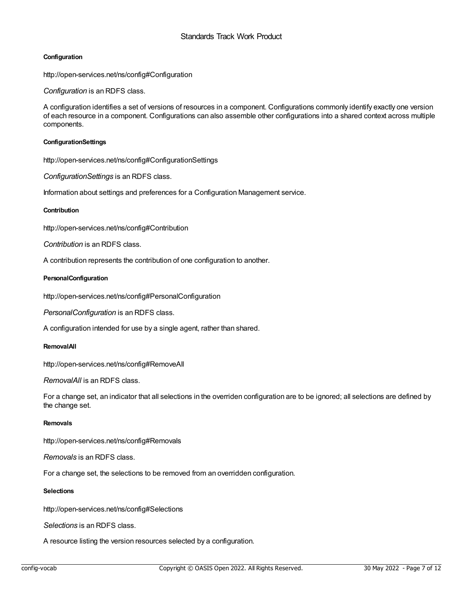#### <span id="page-6-0"></span>**Configuration**

http://open-services.net/ns/config#Configuration

*Configuration* is an RDFS class.

A configuration identifies a set of versions of resources in a component. Configurations commonly identify exactly one version of each resource in a component. Configurations can also assemble other configurations into a shared context across multiple components.

#### <span id="page-6-1"></span>**ConfigurationSettings**

http://open-services.net/ns/config#ConfigurationSettings

*ConfigurationSettings* is an RDFS class.

Information about settings and preferences for a Configuration Management service.

#### <span id="page-6-2"></span>**Contribution**

http://open-services.net/ns/config#Contribution

*Contribution* is an RDFS class.

A contribution represents the contribution of one configuration to another.

#### <span id="page-6-3"></span>**PersonalConfiguration**

http://open-services.net/ns/config#PersonalConfiguration

*PersonalConfiguration* is an RDFS class.

A configuration intended for use by a single agent, rather than shared.

#### <span id="page-6-4"></span>**RemovalAll**

http://open-services.net/ns/config#RemoveAll

*RemovalAll* is an RDFS class.

For a change set, an indicator that all selections in the overriden configuration are to be ignored; all selections are defined by the change set.

#### <span id="page-6-5"></span>**Removals**

http://open-services.net/ns/config#Removals

*Removals* is an RDFS class.

For a change set, the selections to be removed from an overridden configuration.

#### <span id="page-6-6"></span>**Selections**

http://open-services.net/ns/config#Selections

*Selections* is an RDFS class.

A resource listing the version resources selected by a configuration.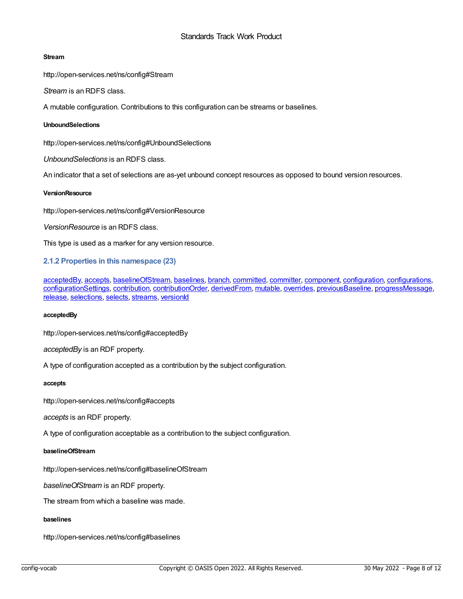#### <span id="page-7-3"></span><span id="page-7-1"></span><span id="page-7-0"></span>**Stream**

http://open-services.net/ns/config#Stream

*Stream* is an RDFS class.

A mutable configuration. Contributions to this configuration can be streams or baselines.

#### <span id="page-7-4"></span>**UnboundSelections**

http://open-services.net/ns/config#UnboundSelections

*UnboundSelections* is an RDFS class.

An indicator that a set of selections are as-yet unbound concept resources as opposed to bound version resources.

#### <span id="page-7-5"></span>**VersionResource**

http://open-services.net/ns/config#VersionResource

*VersionResource* is an RDFS class.

This type is used as a marker for any version resource.

<span id="page-7-2"></span>**2.1.2 Properties in this namespace (23)**

[acceptedBy](#page-7-6), [accepts,](#page-7-7) [baselineOfStream](#page-7-8), [baselines](#page-7-9), [branch](#page-8-0), [committed](#page-8-1), [committer](#page-8-2), [component](#page-8-3), [configuration](#page-8-4), [configurations](#page-8-5), [configurationSettings](#page-8-6), [contribution](#page-9-0), [contributionOrder](#page-9-1), [derivedFrom](#page-9-2), [mutable](#page-9-3), [overrides](#page-9-4), [previousBaseline](#page-9-5), [progressMessage](#page-9-6), [release](#page-9-7), [selections](#page-10-1), [selects](#page-10-2), [streams](#page-10-3), [versionId](#page-10-4)

#### <span id="page-7-6"></span>**acceptedBy**

http://open-services.net/ns/config#acceptedBy

*acceptedBy* is an RDF property.

A type of configuration accepted as a contribution by the subject configuration.

#### <span id="page-7-7"></span>**accepts**

http://open-services.net/ns/config#accepts

*accepts* is an RDF property.

A type of configuration acceptable as a contribution to the subject configuration.

#### <span id="page-7-8"></span>**baselineOfStream**

http://open-services.net/ns/config#baselineOfStream

*baselineOfStream* is an RDF property.

The stream from which a baseline was made.

#### <span id="page-7-9"></span>**baselines**

http://open-services.net/ns/config#baselines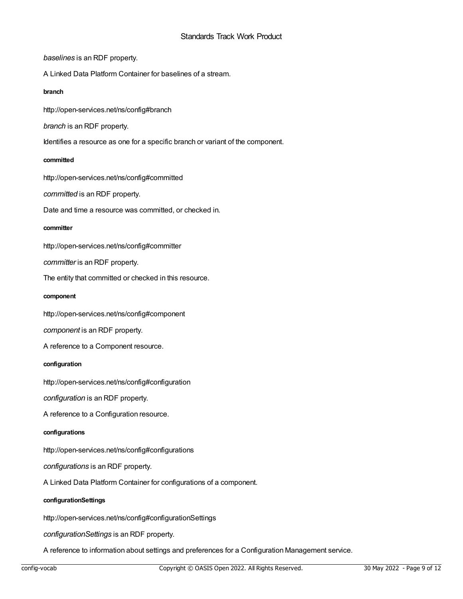*baselines* is an RDF property.

A Linked Data Platform Container for baselines of a stream.

#### <span id="page-8-0"></span>**branch**

http://open-services.net/ns/config#branch

*branch* is an RDF property.

Identifies a resource as one for a specific branch or variant of the component.

#### <span id="page-8-1"></span>**committed**

http://open-services.net/ns/config#committed

*committed* is an RDF property.

Date and time a resource was committed, or checked in.

#### <span id="page-8-2"></span>**committer**

http://open-services.net/ns/config#committer

*committer* is an RDF property.

The entity that committed or checked in this resource.

#### <span id="page-8-3"></span>**component**

http://open-services.net/ns/config#component

*component* is an RDF property.

A reference to a Component resource.

#### <span id="page-8-4"></span>**configuration**

http://open-services.net/ns/config#configuration

*configuration* is an RDF property.

A reference to a Configuration resource.

#### <span id="page-8-5"></span>**configurations**

http://open-services.net/ns/config#configurations

*configurations* is an RDF property.

A Linked Data Platform Container for configurations of a component.

#### <span id="page-8-6"></span>**configurationSettings**

http://open-services.net/ns/config#configurationSettings

*configurationSettings* is an RDF property.

A reference to information about settings and preferences for a Configuration Management service.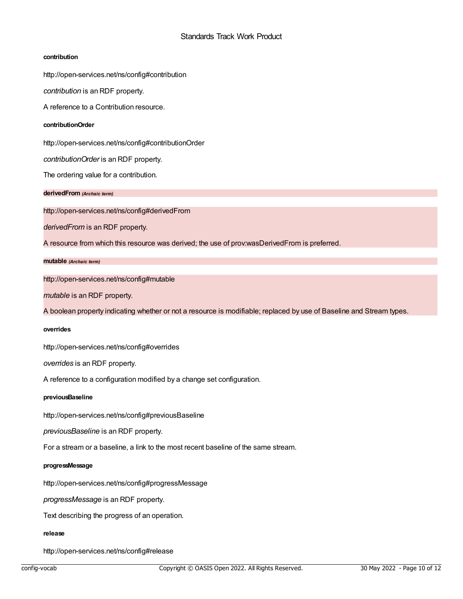#### <span id="page-9-0"></span>**contribution**

http://open-services.net/ns/config#contribution

*contribution* is an RDF property.

A reference to a Contribution resource.

#### <span id="page-9-1"></span>**contributionOrder**

http://open-services.net/ns/config#contributionOrder

*contributionOrder* is an RDF property.

The ordering value for a contribution.

#### <span id="page-9-2"></span>**derivedFrom** *(Archaic term)*

http://open-services.net/ns/config#derivedFrom

*derivedFrom* is an RDF property.

A resource from which this resource was derived; the use of prov:wasDerivedFrom is preferred.

#### <span id="page-9-3"></span>**mutable** *(Archaic term)*

http://open-services.net/ns/config#mutable

*mutable* is an RDF property.

A boolean property indicating whether or not a resource is modifiable; replaced by use of Baseline and Stream types.

#### <span id="page-9-4"></span>**overrides**

http://open-services.net/ns/config#overrides

*overrides* is an RDF property.

A reference to a configuration modified by a change set configuration.

#### <span id="page-9-5"></span>**previousBaseline**

http://open-services.net/ns/config#previousBaseline

*previousBaseline* is an RDF property.

For a stream or a baseline, a link to the most recent baseline of the same stream.

#### <span id="page-9-6"></span>**progressMessage**

http://open-services.net/ns/config#progressMessage

*progressMessage* is an RDF property.

Text describing the progress of an operation.

#### <span id="page-9-7"></span>**release**

http://open-services.net/ns/config#release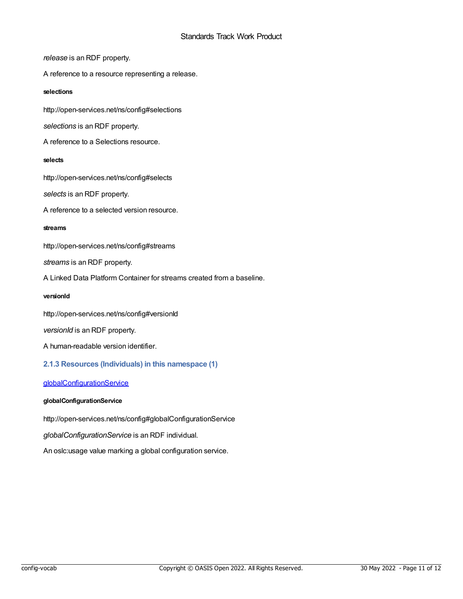*release* is an RDF property.

A reference to a resource representing a release.

#### <span id="page-10-1"></span>**selections**

http://open-services.net/ns/config#selections

*selections* is an RDF property.

A reference to a Selections resource.

#### <span id="page-10-2"></span>**selects**

http://open-services.net/ns/config#selects

*selects* is an RDF property.

A reference to a selected version resource.

#### <span id="page-10-3"></span>**streams**

http://open-services.net/ns/config#streams

*streams* is an RDF property.

A Linked Data Platform Container for streams created from a baseline.

#### <span id="page-10-4"></span>**versionId**

http://open-services.net/ns/config#versionId

*versionId* is an RDF property.

A human-readable version identifier.

#### <span id="page-10-0"></span>**2.1.3 Resources (Individuals) in this namespace (1)**

#### [globalConfigurationService](#page-10-5)

#### <span id="page-10-5"></span>**globalConfigurationService**

http://open-services.net/ns/config#globalConfigurationService

*globalConfigurationService* is an RDF individual.

An oslc:usage value marking a global configuration service.